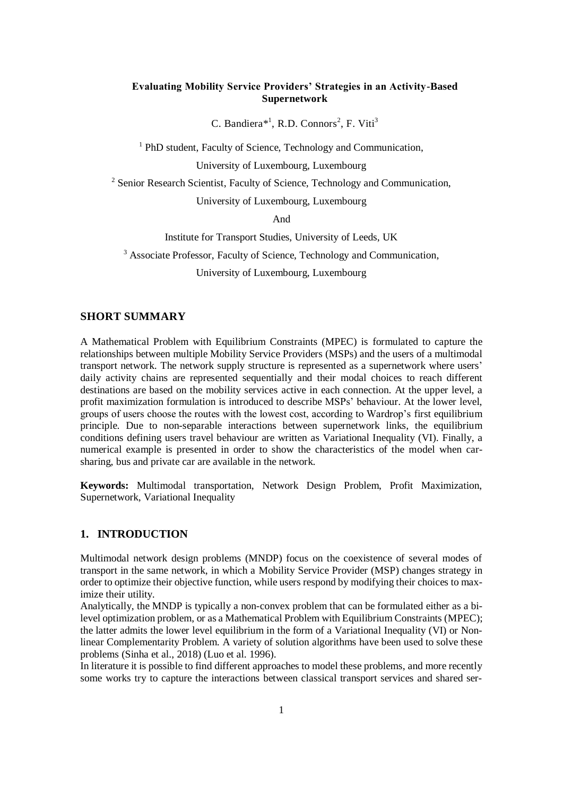# **Evaluating Mobility Service Providers' Strategies in an Activity-Based Supernetwork**

C. Bandiera\*<sup>1</sup>, R.D. Connors<sup>2</sup>, F. Viti<sup>3</sup>

<sup>1</sup> PhD student, Faculty of Science, Technology and Communication,

University of Luxembourg, Luxembourg

<sup>2</sup> Senior Research Scientist, Faculty of Science, Technology and Communication,

University of Luxembourg, Luxembourg

And

Institute for Transport Studies, University of Leeds, UK

<sup>3</sup> Associate Professor, Faculty of Science, Technology and Communication,

University of Luxembourg, Luxembourg

# **SHORT SUMMARY**

A Mathematical Problem with Equilibrium Constraints (MPEC) is formulated to capture the relationships between multiple Mobility Service Providers (MSPs) and the users of a multimodal transport network. The network supply structure is represented as a supernetwork where users' daily activity chains are represented sequentially and their modal choices to reach different destinations are based on the mobility services active in each connection. At the upper level, a profit maximization formulation is introduced to describe MSPs' behaviour. At the lower level, groups of users choose the routes with the lowest cost, according to Wardrop's first equilibrium principle. Due to non-separable interactions between supernetwork links, the equilibrium conditions defining users travel behaviour are written as Variational Inequality (VI). Finally, a numerical example is presented in order to show the characteristics of the model when carsharing, bus and private car are available in the network.

**Keywords:** Multimodal transportation, Network Design Problem, Profit Maximization, Supernetwork, Variational Inequality

# **1. INTRODUCTION**

Multimodal network design problems (MNDP) focus on the coexistence of several modes of transport in the same network, in which a Mobility Service Provider (MSP) changes strategy in order to optimize their objective function, while users respond by modifying their choices to maximize their utility.

Analytically, the MNDP is typically a non-convex problem that can be formulated either as a bilevel optimization problem, or as a Mathematical Problem with Equilibrium Constraints (MPEC); the latter admits the lower level equilibrium in the form of a Variational Inequality (VI) or Nonlinear Complementarity Problem. A variety of solution algorithms have been used to solve these problems (Sinha et al., 2018) (Luo et al. 1996).

In literature it is possible to find different approaches to model these problems, and more recently some works try to capture the interactions between classical transport services and shared ser-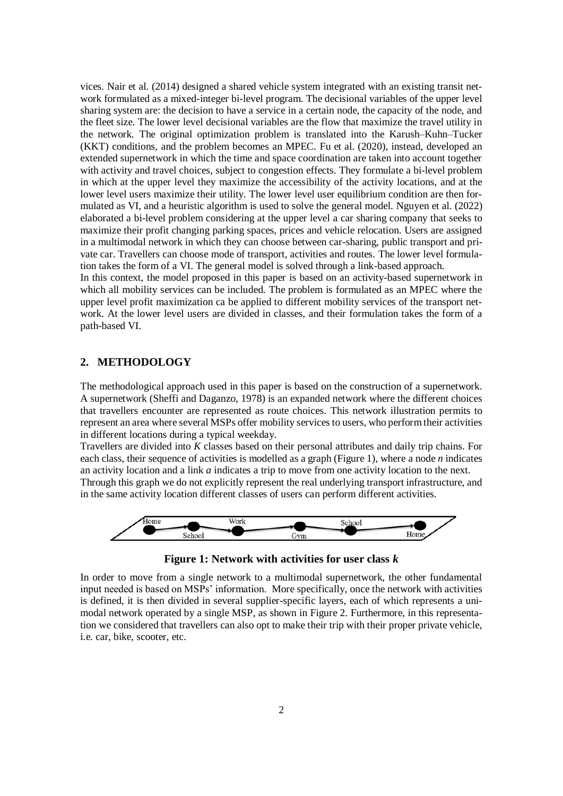vices. Nair et al. (2014) designed a shared vehicle system integrated with an existing transit network formulated as a mixed-integer bi-level program. The decisional variables of the upper level sharing system are: the decision to have a service in a certain node, the capacity of the node, and the fleet size. The lower level decisional variables are the flow that maximize the travel utility in the network. The original optimization problem is translated into the Karush–Kuhn–Tucker (KKT) conditions, and the problem becomes an MPEC. Fu et al. (2020), instead, developed an extended supernetwork in which the time and space coordination are taken into account together with activity and travel choices, subject to congestion effects. They formulate a bi-level problem in which at the upper level they maximize the accessibility of the activity locations, and at the lower level users maximize their utility. The lower level user equilibrium condition are then formulated as VI, and a heuristic algorithm is used to solve the general model. Nguyen et al. (2022) elaborated a bi-level problem considering at the upper level a car sharing company that seeks to maximize their profit changing parking spaces, prices and vehicle relocation. Users are assigned in a multimodal network in which they can choose between car-sharing, public transport and private car. Travellers can choose mode of transport, activities and routes. The lower level formulation takes the form of a VI. The general model is solved through a link-based approach.

In this context, the model proposed in this paper is based on an activity-based supernetwork in which all mobility services can be included. The problem is formulated as an MPEC where the upper level profit maximization ca be applied to different mobility services of the transport network. At the lower level users are divided in classes, and their formulation takes the form of a path-based VI.

# **2. METHODOLOGY**

The methodological approach used in this paper is based on the construction of a supernetwork. A supernetwork (Sheffi and Daganzo, 1978) is an expanded network where the different choices that travellers encounter are represented as route choices. This network illustration permits to represent an area where several MSPs offer mobility services to users, who perform their activities in different locations during a typical weekday.

Travellers are divided into *K* classes based on their personal attributes and daily trip chains. For each class, their sequence of activities is modelled as a graph (Figure 1), where a node *n* indicates an activity location and a link *a* indicates a trip to move from one activity location to the next. Through this graph we do not explicitly represent the real underlying transport infrastructure, and in the same activity location different classes of users can perform different activities.



**Figure 1: Network with activities for user class** *k*

In order to move from a single network to a multimodal supernetwork, the other fundamental input needed is based on MSPs' information. More specifically, once the network with activities is defined, it is then divided in several supplier-specific layers, each of which represents a unimodal network operated by a single MSP, as shown in Figure 2. Furthermore, in this representation we considered that travellers can also opt to make their trip with their proper private vehicle, i.e. car, bike, scooter, etc.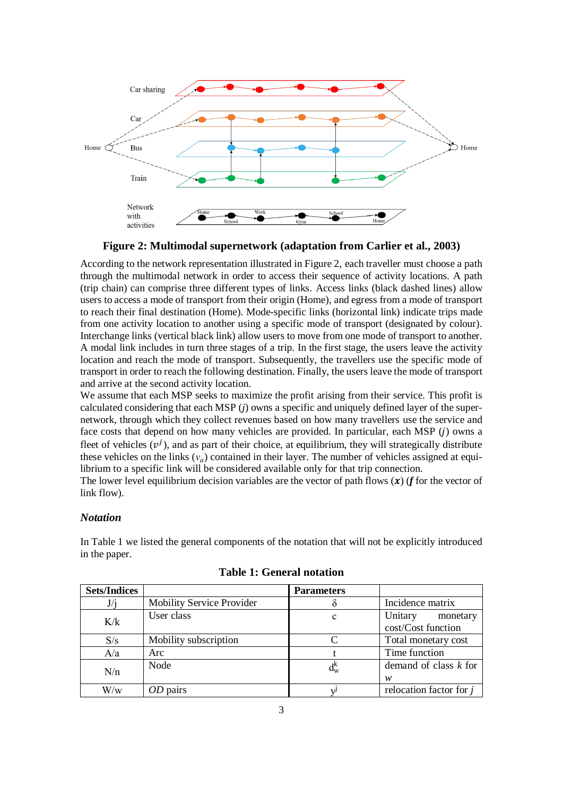

**Figure 2: Multimodal supernetwork (adaptation from Carlier et al., 2003)**

According to the network representation illustrated in Figure 2, each traveller must choose a path through the multimodal network in order to access their sequence of activity locations. A path (trip chain) can comprise three different types of links. Access links (black dashed lines) allow users to access a mode of transport from their origin (Home), and egress from a mode of transport to reach their final destination (Home). Mode-specific links (horizontal link) indicate trips made from one activity location to another using a specific mode of transport (designated by colour). Interchange links (vertical black link) allow users to move from one mode of transport to another. A modal link includes in turn three stages of a trip. In the first stage, the users leave the activity location and reach the mode of transport. Subsequently, the travellers use the specific mode of transport in order to reach the following destination. Finally, the users leave the mode of transport and arrive at the second activity location.

We assume that each MSP seeks to maximize the profit arising from their service. This profit is calculated considering that each MSP (*j*) owns a specific and uniquely defined layer of the supernetwork, through which they collect revenues based on how many travellers use the service and face costs that depend on how many vehicles are provided. In particular, each MSP  $(i)$  owns a fleet of vehicles  $(v^{j})$ , and as part of their choice, at equilibrium, they will strategically distribute these vehicles on the links  $(v_a)$  contained in their layer. The number of vehicles assigned at equilibrium to a specific link will be considered available only for that trip connection.

The lower level equilibrium decision variables are the vector of path flows  $(x)$  (f for the vector of link flow).

## *Notation*

In Table 1 we listed the general components of the notation that will not be explicitly introduced in the paper.

| <b>Sets/Indices</b> |                                  | <b>Parameters</b>  |                           |  |  |  |
|---------------------|----------------------------------|--------------------|---------------------------|--|--|--|
| J/i                 | <b>Mobility Service Provider</b> |                    | Incidence matrix          |  |  |  |
| K/k                 | User class                       | c                  | Unitary<br>monetary       |  |  |  |
|                     |                                  |                    | cost/Cost function        |  |  |  |
| S/s                 | Mobility subscription            |                    | Total monetary cost       |  |  |  |
| A/a                 | Arc                              |                    | Time function             |  |  |  |
| N/n                 | Node                             | $\rm d_w^{\kappa}$ | demand of class $k$ for   |  |  |  |
|                     |                                  |                    | w                         |  |  |  |
| $W\!/\mathrm{w}$    | OD pairs                         |                    | relocation factor for $j$ |  |  |  |

|  |  |  | <b>Table 1: General notation</b> |
|--|--|--|----------------------------------|
|--|--|--|----------------------------------|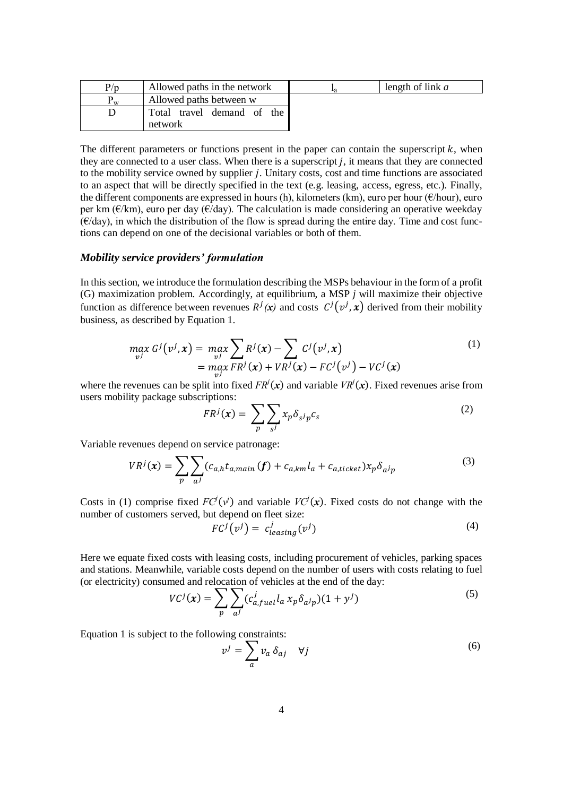| P/p        | Allowed paths in the network             | length of link $a$ |
|------------|------------------------------------------|--------------------|
| <b>XX7</b> | Allowed paths between w                  |                    |
|            | travel demand of the<br>Total<br>network |                    |

The different parameters or functions present in the paper can contain the superscript  $k$ , when they are connected to a user class. When there is a superscript  $i$ , it means that they are connected to the mobility service owned by supplier  $j$ . Unitary costs, cost and time functions are associated to an aspect that will be directly specified in the text (e.g. leasing, access, egress, etc.). Finally, the different components are expressed in hours (h), kilometers (km), euro per hour (€/hour), euro per km ( $\epsilon/km$ ), euro per day ( $\epsilon/day$ ). The calculation is made considering an operative weekday  $(\epsilon/day)$ , in which the distribution of the flow is spread during the entire day. Time and cost functions can depend on one of the decisional variables or both of them.

## *Mobility service providers' formulation*

In this section, we introduce the formulation describing the MSPs behaviour in the form of a profit (G) maximization problem. Accordingly, at equilibrium, a MSP *j* will maximize their objective function as difference between revenues  $R^{j}(x)$  and costs  $C^{j}(v^{j},x)$  derived from their mobility business, as described by Equation 1.

$$
\max_{\nu} G^j(\nu^j, \mathbf{x}) = \max_{\nu^j} \sum_{\nu^j} R^j(\mathbf{x}) - \sum_{\nu^j} C^j(\nu^j, \mathbf{x})
$$
\n
$$
= \max_{\nu^j} F R^j(\mathbf{x}) + V R^j(\mathbf{x}) - F C^j(\nu^j) - V C^j(\mathbf{x})
$$
\n(1)

where the revenues can be split into fixed  $FR<sup>j</sup>(x)$  and variable  $VR<sup>j</sup>(x)$ . Fixed revenues arise from users mobility package subscriptions:

$$
FR^{j}(\mathbf{x}) = \sum_{p} \sum_{s^{j}} x_{p} \delta_{s^{j} p} c_{s}
$$
 (2)

Variable revenues depend on service patronage:

$$
VR^{j}(\boldsymbol{x}) = \sum_{p} \sum_{a^{j}} (c_{a,h} t_{a,main} (f) + c_{a,km} l_{a} + c_{a,ticket}) x_{p} \delta_{a^{j}p}
$$
(3)

Costs in (1) comprise fixed  $FC<sup>j</sup>(v<sup>j</sup>)$  and variable  $VC<sup>j</sup>(x)$ . Fixed costs do not change with the number of customers served, but depend on fleet size:

$$
FCj(vj) = cjleasing(vj)
$$
 (4)

Here we equate fixed costs with leasing costs, including procurement of vehicles, parking spaces and stations. Meanwhile, variable costs depend on the number of users with costs relating to fuel (or electricity) consumed and relocation of vehicles at the end of the day:

$$
VC^j(\mathbf{x}) = \sum_p \sum_{a^j} (c^j_{a, fuel} l_a x_p \delta_{a^j p}) (1 + y^j)
$$
 (5)

Equation 1 is subject to the following constraints:

$$
v^j = \sum_a v_a \, \delta_{aj} \quad \forall j \tag{6}
$$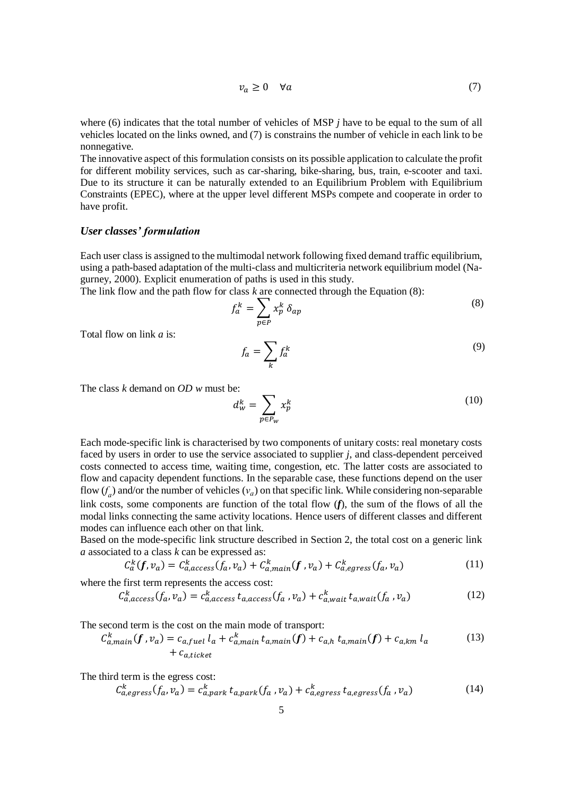$$
v_a \ge 0 \quad \forall a \tag{7}
$$

where (6) indicates that the total number of vehicles of MSP *j* have to be equal to the sum of all vehicles located on the links owned, and (7) is constrains the number of vehicle in each link to be nonnegative.

The innovative aspect of this formulation consists on its possible application to calculate the profit for different mobility services, such as car-sharing, bike-sharing, bus, train, e-scooter and taxi. Due to its structure it can be naturally extended to an Equilibrium Problem with Equilibrium Constraints (EPEC), where at the upper level different MSPs compete and cooperate in order to have profit.

#### *User classes' formulation*

Each user class is assigned to the multimodal network following fixed demand traffic equilibrium, using a path-based adaptation of the multi-class and multicriteria network equilibrium model (Nagurney, 2000). Explicit enumeration of paths is used in this study.

The link flow and the path flow for class *k* are connected through the Equation (8):

$$
f_a^k = \sum_{p \in P} x_p^k \, \delta_{ap} \tag{8}
$$

Total flow on link *a* is:

$$
f_a = \sum_k f_a^k \tag{9}
$$

The class *k* demand on *OD w* must be:

$$
d_w^k = \sum_{p \in P_w} x_p^k \tag{10}
$$

Each mode-specific link is characterised by two components of unitary costs: real monetary costs faced by users in order to use the service associated to supplier *j*, and class-dependent perceived costs connected to access time, waiting time, congestion, etc. The latter costs are associated to flow and capacity dependent functions. In the separable case, these functions depend on the user flow  $(f_a)$  and/or the number of vehicles  $(v_a)$  on that specific link. While considering non-separable link costs, some components are function of the total flow (*f*), the sum of the flows of all the modal links connecting the same activity locations. Hence users of different classes and different modes can influence each other on that link.

Based on the mode-specific link structure described in Section 2, the total cost on a generic link *a* associated to a class *k* can be expressed as:

$$
C_a^k(f, v_a) = C_{a,access}^k(f_a, v_a) + C_{a,main}^k(f, v_a) + C_{a,egress}^k(f_a, v_a)
$$
\n
$$
(11)
$$

where the first term represents the access cost:

$$
C_{a,access}^k(f_a, v_a) = c_{a,access}^k t_{a,access}(f_a, v_a) + c_{a,wait}^k t_{a,wait}(f_a, v_a)
$$
(12)

The second term is the cost on the main mode of transport:

$$
C_{a,main}^k(f, v_a) = c_{a,fuel} l_a + c_{a,main}^k t_{a,main}(f) + c_{a,h} t_{a,main}(f) + c_{a,km} l_a
$$
\n
$$
+ c_{a,ticket}
$$
\n(13)

The third term is the egress cost:

$$
C_{a,egress}^k(f_a, v_a) = c_{a,park}^k t_{a,park}(f_a, v_a) + c_{a,egress}^k t_{a,egress}(f_a, v_a)
$$
(14)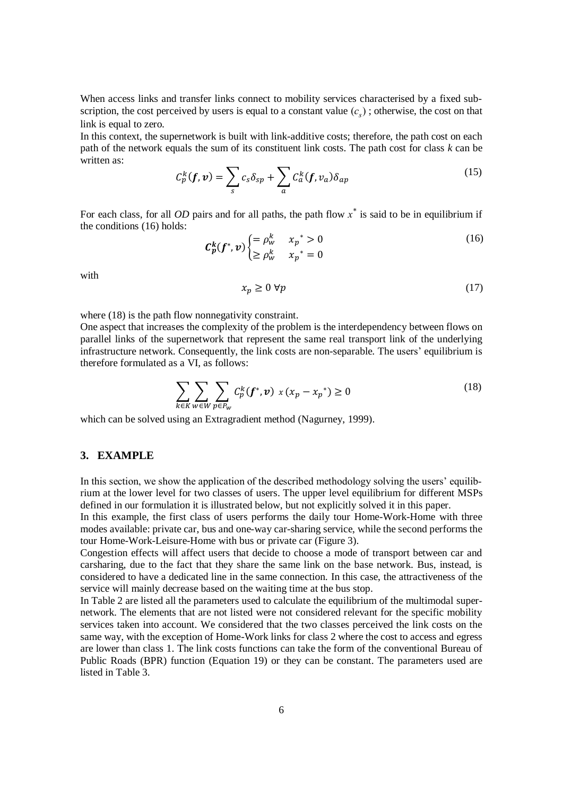When access links and transfer links connect to mobility services characterised by a fixed subscription, the cost perceived by users is equal to a constant value  $(c_s)$ ; otherwise, the cost on that link is equal to zero.

In this context, the supernetwork is built with link-additive costs; therefore, the path cost on each path of the network equals the sum of its constituent link costs. The path cost for class *k* can be written as:

$$
C_p^k(f, \mathbf{v}) = \sum_s c_s \delta_{sp} + \sum_a C_a^k(f, v_a) \delta_{ap}
$$
 (15)

For each class, for all *OD* pairs and for all paths, the path flow *x \** is said to be in equilibrium if the conditions (16) holds:

$$
\mathcal{C}_p^k(f^*, v) \begin{cases} = \rho_w^k & x_p^* > 0\\ \ge \rho_w^k & x_p^* = 0 \end{cases}
$$
(16)

with

$$
x_p \ge 0 \,\forall p \tag{17}
$$

where  $(18)$  is the path flow nonnegativity constraint.

One aspect that increases the complexity of the problem is the interdependency between flows on parallel links of the supernetwork that represent the same real transport link of the underlying infrastructure network. Consequently, the link costs are non-separable. The users' equilibrium is therefore formulated as a VI, as follows:

$$
\sum_{k \in K} \sum_{w \in W} \sum_{p \in P_w} C_p^k(f^*, v) \times (x_p - x_p^*) \ge 0
$$
\n(18)

which can be solved using an Extragradient method (Nagurney, 1999).

### **3. EXAMPLE**

In this section, we show the application of the described methodology solving the users' equilibrium at the lower level for two classes of users. The upper level equilibrium for different MSPs defined in our formulation it is illustrated below, but not explicitly solved it in this paper.

In this example, the first class of users performs the daily tour Home-Work-Home with three modes available: private car, bus and one-way car-sharing service, while the second performs the tour Home-Work-Leisure-Home with bus or private car (Figure 3).

Congestion effects will affect users that decide to choose a mode of transport between car and carsharing, due to the fact that they share the same link on the base network. Bus, instead, is considered to have a dedicated line in the same connection. In this case, the attractiveness of the service will mainly decrease based on the waiting time at the bus stop.

In Table 2 are listed all the parameters used to calculate the equilibrium of the multimodal supernetwork. The elements that are not listed were not considered relevant for the specific mobility services taken into account. We considered that the two classes perceived the link costs on the same way, with the exception of Home-Work links for class 2 where the cost to access and egress are lower than class 1. The link costs functions can take the form of the conventional Bureau of Public Roads (BPR) function (Equation 19) or they can be constant. The parameters used are listed in Table 3.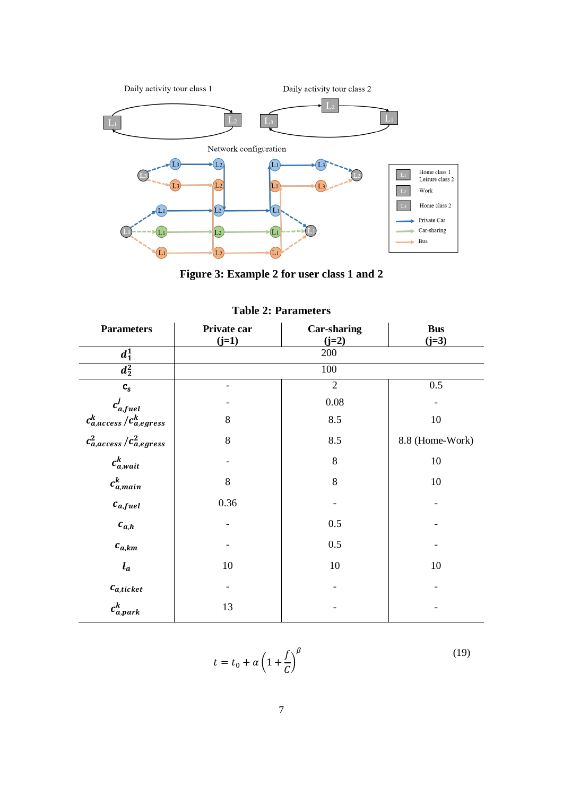

**Figure 3: Example 2 for user class 1 and 2**

| <b>Parameters</b>               | Private car | Car-sharing    | <b>Bus</b>      |  |  |
|---------------------------------|-------------|----------------|-----------------|--|--|
| $d_1^1$                         | $(j=1)$     | $(j=2)$<br>200 | $(j=3)$         |  |  |
| $\overline{d_2^2}$              |             | 100            |                 |  |  |
| $\mathbf{c}_{\mathbf{s}}$       |             | $\overline{2}$ | 0.5             |  |  |
| $c^j_{a, fuel}$                 |             | 0.08           |                 |  |  |
| $c_{a,access}^k/c_{a,egress}^k$ | 8           | 8.5            | 10              |  |  |
| $c_{a,access}^2/c_{a,egress}^2$ | 8           | 8.5            | 8.8 (Home-Work) |  |  |
| $c_{a,wait}^k$                  |             | 8              | 10              |  |  |
| $c_{a, main}^k$                 | 8           | 8              | 10              |  |  |
| $c_{a, fuel}$                   | 0.36        |                |                 |  |  |
| $c_{a,h}$                       |             | 0.5            |                 |  |  |
| $c_{a,km}$                      |             | 0.5            |                 |  |  |
| $l_a$                           | 10          | $10\,$         | 10              |  |  |
| $c_{a,ticket}$                  |             |                |                 |  |  |
| $c_{a, park}^k$                 | 13          |                |                 |  |  |

# **Table 2: Parameters**

$$
t = t_0 + \alpha \left( 1 + \frac{f}{C} \right)^{\beta}
$$

(19)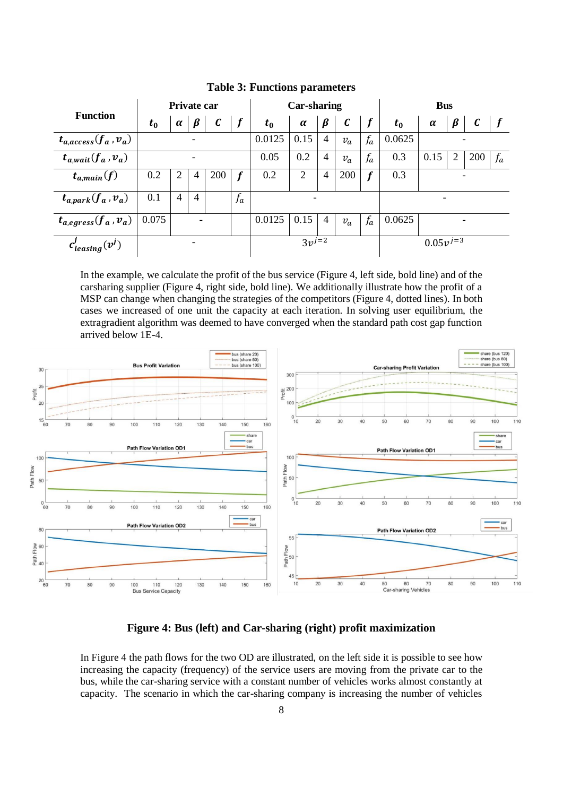|                            | Private car |                |                |              | <b>Car-sharing</b> |         |            |                | <b>Bus</b>       |                  |         |               |         |                  |       |
|----------------------------|-------------|----------------|----------------|--------------|--------------------|---------|------------|----------------|------------------|------------------|---------|---------------|---------|------------------|-------|
| <b>Function</b>            | $t_{0}$     | $\alpha$       | $\beta$        | $\mathcal C$ |                    | $t_{0}$ | $\alpha$   | $\beta$        | $\boldsymbol{c}$ |                  | $t_{0}$ | $\alpha$      | $\beta$ | $\boldsymbol{c}$ |       |
| $t_{a,access}(f_a, v_a)$   |             |                |                |              |                    | 0.0125  | 0.15       | 4              | $v_a$            | $f_a$            | 0.0625  |               |         |                  |       |
| $t_{a,wait}(f_a, v_a)$     |             |                |                |              |                    | 0.05    | 0.2        | $\overline{4}$ | $v_a$            | $f_a$            | 0.3     | 0.15          | 2       | 200              | $f_a$ |
| $t_{a, main}(f)$           | 0.2         | 2              | 4              | 200          |                    | 0.2     | 2          | $\overline{4}$ | 200              | $\boldsymbol{f}$ | 0.3     |               |         |                  |       |
| $t_{a, park}(f_a, v_a)$    | 0.1         | $\overline{4}$ | $\overline{4}$ |              | $f_a$              |         |            |                |                  |                  |         |               |         |                  |       |
| $t_{a,egress}(f_a, v_a)$   | 0.075       |                |                |              |                    | 0.0125  | 0.15       | 4              | $v_a$            | $f_a$            | 0.0625  |               |         |                  |       |
| $c'_{\text{leasing}}(v^j)$ |             |                |                |              |                    |         | $3v^{j=2}$ |                |                  |                  |         | $0.05v^{j=3}$ |         |                  |       |

**Table 3: Functions parameters**

In the example, we calculate the profit of the bus service (Figure 4, left side, bold line) and of the carsharing supplier (Figure 4, right side, bold line). We additionally illustrate how the profit of a MSP can change when changing the strategies of the competitors (Figure 4, dotted lines). In both cases we increased of one unit the capacity at each iteration. In solving user equilibrium, the extragradient algorithm was deemed to have converged when the standard path cost gap function arrived below 1E-4.



**Figure 4: Bus (left) and Car-sharing (right) profit maximization**

In Figure 4 the path flows for the two OD are illustrated, on the left side it is possible to see how increasing the capacity (frequency) of the service users are moving from the private car to the bus, while the car-sharing service with a constant number of vehicles works almost constantly at capacity. The scenario in which the car-sharing company is increasing the number of vehicles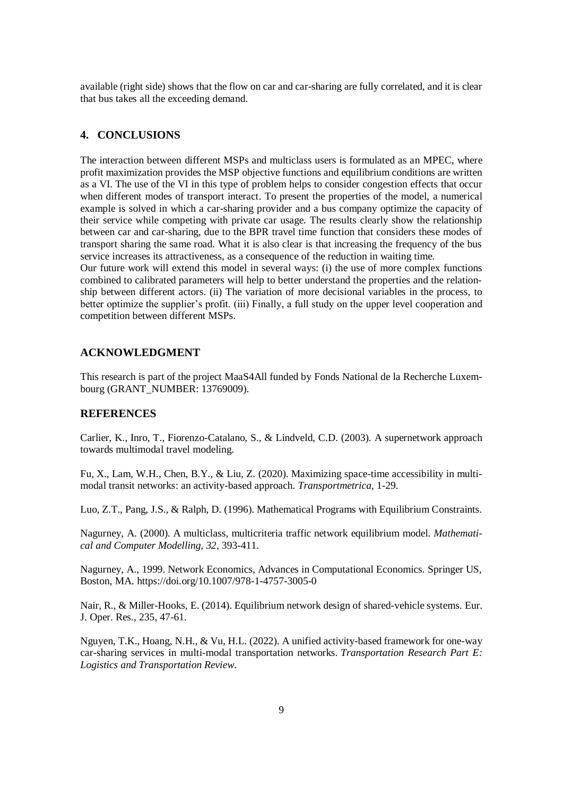available (right side) shows that the flow on car and car-sharing are fully correlated, and it is clear that bus takes all the exceeding demand.

## **4. CONCLUSIONS**

The interaction between different MSPs and multiclass users is formulated as an MPEC, where profit maximization provides the MSP objective functions and equilibrium conditions are written as a VI. The use of the VI in this type of problem helps to consider congestion effects that occur when different modes of transport interact. To present the properties of the model, a numerical example is solved in which a car-sharing provider and a bus company optimize the capacity of their service while competing with private car usage. The results clearly show the relationship between car and car-sharing, due to the BPR travel time function that considers these modes of transport sharing the same road. What it is also clear is that increasing the frequency of the bus service increases its attractiveness, as a consequence of the reduction in waiting time.

Our future work will extend this model in several ways: (i) the use of more complex functions combined to calibrated parameters will help to better understand the properties and the relationship between different actors. (ii) The variation of more decisional variables in the process, to better optimize the supplier's profit. (iii) Finally, a full study on the upper level cooperation and competition between different MSPs.

## **ACKNOWLEDGMENT**

This research is part of the project MaaS4All funded by Fonds National de la Recherche Luxembourg (GRANT\_NUMBER: 13769009).

## **REFERENCES**

Carlier, K., Inro, T., Fiorenzo-Catalano, S., & Lindveld, C.D. (2003). A supernetwork approach towards multimodal travel modeling.

Fu, X., Lam, W.H., Chen, B.Y., & Liu, Z. (2020). Maximizing space-time accessibility in multimodal transit networks: an activity-based approach. *Transportmetrica*, 1-29.

Luo, Z.T., Pang, J.S., & Ralph, D. (1996). Mathematical Programs with Equilibrium Constraints.

Nagurney, A. (2000). A multiclass, multicriteria traffic network equilibrium model. *Mathematical and Computer Modelling, 32*, 393-411.

Nagurney, A., 1999. Network Economics, Advances in Computational Economics. Springer US, Boston, MA. https://doi.org/10.1007/978-1-4757-3005-0

Nair, R., & Miller-Hooks, E. (2014). Equilibrium network design of shared-vehicle systems. Eur. J. Oper. Res., 235, 47-61.

Nguyen, T.K., Hoang, N.H., & Vu, H.L. (2022). A unified activity-based framework for one-way car-sharing services in multi-modal transportation networks. *Transportation Research Part E: Logistics and Transportation Review*.